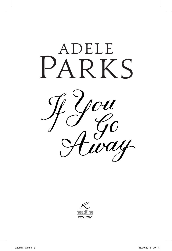

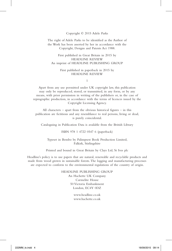### Copyright © 2015 Adele Parks

The right of Adele Parks to be identified as the Author of the Work has been asserted by her in accordance with the Copyright, Designs and Patents Act 1988.

First published in Great Britain in 2015 by HEADLINE REVIEW An imprint of HEADLINE PUBLISHING GROUP

### First published in paperback in 2015 by HEADLINE REVIEW

1

Apart from any use permitted under UK copyright law, this publication may only be reproduced, stored, or transmitted, in any form, or by any means, with prior permission in writing of the publishers or, in the case of reprographic production, in accordance with the terms of licences issued by the Copyright Licensing Agency.

All characters – apart from the obvious historical figures – in this publication are fictitious and any resemblance to real persons, living or dead, is purely coincidental.

Cataloguing in Publication Data is available from the British Library

ISBN 978 1 4722 0547 6 (paperback)

Typeset in Bembo by Palimpsest Book Production Limited, Falkirk, Stirlingshire

Printed and bound in Great Britain by Clays Ltd, St Ives plc

Headline's policy is to use papers that are natural, renewable and recyclable products and made from wood grown in sustainable forests. The logging and manufacturing processes are expected to conform to the environmental regulations of the country of origin.

#### HEADLINE PUBLISHING GROUP

An Hachette UK Company Carmelite House 50 Victoria Embankment London, EC4Y 0DZ

> www.headline.co.uk www.hachette.co.uk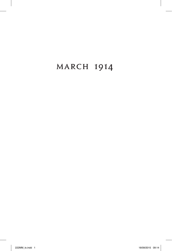# **march 1914**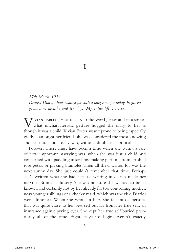**1**

*27th March 1914 Dearest Diary, I have waited for such a long time for today. Eighteen years, nine months and ten days. My entire life. Forever.*

Vivian carefully underlined the word *forever* and in a some-what uncharacteristic gesture hugged the diary to her as though it was a child. Vivian Foster wasn't prone to being especially giddy – amongst her friends she was considered the most knowing and realistic – but today was, without doubt, exceptional.

Forever? There must have been a time when she wasn't aware of how important marrying was, when she was just a child and concerned with paddling in streams, making perfume from crushed rose petals or picking brambles. Then all she'd waited for was the next sunny day. She just couldn't remember that time. Perhaps she'd written what she had because writing in diaries made her nervous. Stomach fluttery. She was not sure she wanted to be so known, and certainly not by her already far too controlling mother, nosy younger siblings or a cheeky maid, which was the risk. Diaries were dishonest. When she wrote in hers, she fell into a persona that was quite close to her best self but far from her true self, an insurance against prying eyes. She kept her true self buried practically all of the time. Eighteen-year-old girls weren't exactly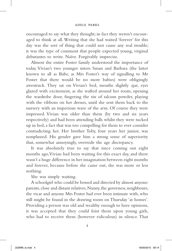## **adele parks**

encouraged to say what they thought; in fact they weren't encouraged to think at all. Writing that she had waited 'forever' for this day was the sort of thing that could not cause any real trouble; it was the type of comment that people expected young, virginal debutantes to write. Naïve. Forgivably imprecise.

Almost the entire Foster family understood the importance of today. Vivian's two younger sisters Susan and Barbara (the latter known to all as Babe, as Mrs Foster's way of signalling to Mr Foster that there would be no more babies) were obligingly awestruck. They sat on Vivian's bed, mouths slightly ajar, eyes glazed with excitement, as she wafted around her room, opening the wardrobe door, fingering the tin of talcum powder, playing with the ribbons on her dresses, until she sent them back to the nursery with an imperious wave of the arm. Of course they were impressed. Vivian was older than them (by two and six years respectively) and had been attending balls whilst they were tucked up in bed, a fact that was too compelling for them to ever consider contradicting her. Her brother Toby, four years her junior, was nonplussed. His gender gave him a strong sense of superiority that, somewhat annoyingly, overrode the age discrepancy.

It was absolutely true to say that since coming out eight months ago, Vivian had been waiting for this exact day, and there wasn't a huge difference in her imagination between eight months and forever, because before she came out, she was more or less nothing.

She was simply waiting.

A schoolgirl who could be bossed and directed by almost anyone: parents, close and distant relatives, Nanny, the governess, neighbours, the vicar and anyone Mrs Foster had ever been intimate with, who still might be found in the drawing room on Thursday 'at homes'. Providing a person was old and wealthy enough to have opinions, it was accepted that they could foist them upon young girls, who had to receive them (however ridiculous) in silence. That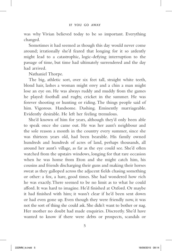was why Vivian believed today to be so important. Everything changed.

Sometimes it had seemed as though this day would never come around; irrationally she'd feared that longing for it so ardently might lead to a catastrophic, logic-defying interruption to the passage of time, but time had ultimately surrendered and the day had arrived.

Nathaniel Thorpe.

The big, athletic sort, over six feet tall, straight white teeth, blond hair, lashes a woman might envy and a chin a man might lose an eye on. He was always ruddy and muddy from the games he played: football and rugby, cricket in the summer. He was forever shooting or hunting or riding. The things people said of him. Vigorous. Handsome. Dashing. Eminently marriageable. Evidently desirable. He left her feeling tremulous.

She'd known of him for years, although they'd only been able to speak once she came out. He was her aunt's neighbour and the sole reason a month in the country every summer, since she was thirteen years old, had been bearable. His family owned hundreds and hundreds of acres of land, perhaps thousands, all around her aunt's village, as far as the eye could see. She'd often watched from the upstairs windows, longing for that rare occasion when he was home from Eton and she might catch him, his cousins and friends discharging their guns and making their horses sweat as they galloped across the adjacent fields chasing something or other: a fox, a hare, good times. She had wondered how rich he was exactly. There seemed to be no limit as to what he could afford. It was hard to imagine. He'd finished at Oxford. Or maybe it had finished with him; it wasn't clear if he'd been sent down or had even gone up. Even though they were friendly now, it was not the sort of thing she could ask. She didn't want to bother or nag. Her mother no doubt had made enquiries. Discreetly. She'd have wanted to know if there were debts or prospects, scandals or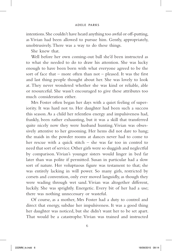## **adele parks**

intentions. She couldn't have heard anything too awful or off-putting, as Vivian had been allowed to pursue him. Gently, appropriately, unobtrusively. There was a way to do these things.

She knew that.

Well before her own coming-out ball she'd been instructed as to what she needed to do to draw his attention. She was lucky enough to have been born with what everyone agreed to be the sort of face that – more often than not – pleased. It was the first and last thing people thought about her. She was lovely to look at. They never wondered whether she was kind or reliable, able or resourceful. She wasn't encouraged to give these attributes too much consideration either.

Mrs Foster often began her days with a quiet feeling of superiority. It was hard not to. Her daughter had been such a success this season. As a child her relentless energy and impulsiveness had, frankly, been rather exhausting, but it was a skill that transferred quite nicely now they were husband hunting. Vivian was obsessively attentive to her grooming. Her hems did not dare to hang; the maids in the powder rooms at dances never had to come to her rescue with a quick stitch – she was far too in control to need that sort of service. Other girls were so sluggish and neglectful by comparison. Vivian's younger sisters would linger in bed far later than was polite if permitted. Susan in particular had a slow sort of nature. Her voluptuous figure was testament to that; she was entirely lacking in will power. So many girls, restricted by corsets and convention, only ever moved languidly, as though they were wading through wet sand. Vivian was altogether different, luckily. She was sprightly. Energetic. Every bit of her had a use; there was nothing unnecessary or wasteful.

Of course, as a mother, Mrs Foster had a duty to control and direct that energy, subdue her impulsiveness. It was a good thing her daughter was noticed, but she didn't want her to be set apart. That would be a catastrophe. Vivian was trained and instructed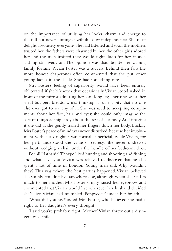on the importance of utilising her looks, charm and energy to the full but never hinting at wilfulness or independence. She must delight absolutely everyone. She had listened and soon the mothers trusted her, the fathers were charmed by her, the other girls adored her and the men insisted they would fight duels for her, if such a thing still went on. The opinion was that despite her waning family fortune, Vivian Foster was a success. Behind their fans the more honest chaperones often commented that she put other young ladies in the shade. She had something rare.

Mrs Foster's feeling of superiority would have been entirely obliterated if she'd known that occasionally Vivian stood naked in front of the mirror admiring her lean long legs, her tiny waist, her small but pert breasts, whilst thinking it such a pity that no one else ever got to see any of it. She was used to accepting compliments about her face, hair and eyes; she could only imagine the sort of things *he* might say about the rest of her body. And imagine it she did as she gently trailed her fingers down her body. Luckily Mrs Foster's peace of mind was never disturbed, because her involvement with her daughter was formal, superficial, while Vivian, for her part, understood the value of secrecy. She never undressed without wedging a chair under the handle of her bedroom door.

For all Nathaniel Thorpe liked hunting and shooting and fishing and what-have-you, Vivian was relieved to discover that he also spent a lot of time in London. Young men did. Why wouldn't they? This was where the best parties happened. Vivian believed she simply couldn't live anywhere else, although when she said as much to her mother, Mrs Foster simply raised her eyebrows and commented that Vivian would live wherever her husband decided she'd live. Vivian had mumbled 'Poppycock' under her breath.

'What did you say?' asked Mrs Foster, who believed she had a right to her daughter's every thought.

'I said you're probably right, Mother.' Vivian threw out a disingenuous smile.

7